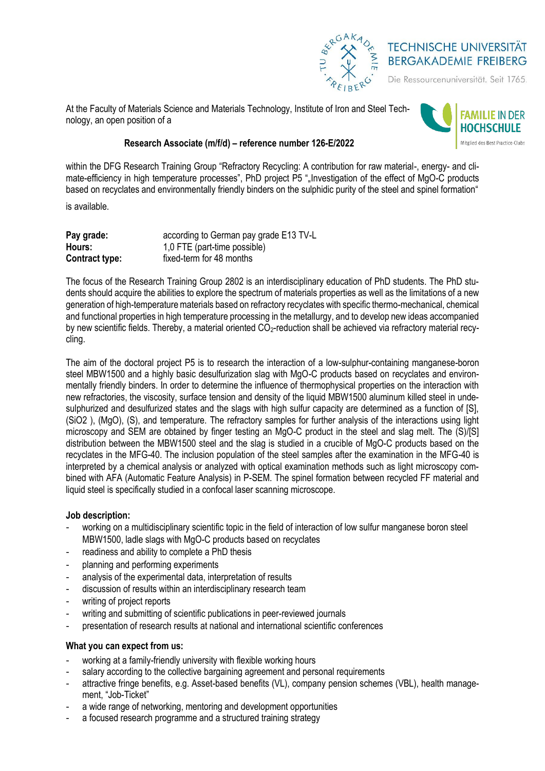

# **TECHNISCHE UNIVERSITÄT BERGAKADEMIE FREIBERG**

Die Ressourcenuniversität. Seit 1765.

At the Faculty of Materials Science and Materials Technology, Institute of Iron and Steel Technology, an open position of a



## **Research Associate (m/f/d) – reference number 126-E/2022**

within the DFG Research Training Group "Refractory Recycling: A contribution for raw material-, energy- and climate-efficiency in high temperature processes", PhD project P5 ", Investigation of the effect of MgO-C products based on recyclates and environmentally friendly binders on the sulphidic purity of the steel and spinel formation"

is available.

| Pay grade:     | according to German pay grade E13 TV-L |
|----------------|----------------------------------------|
| Hours:         | 1,0 FTE (part-time possible)           |
| Contract type: | fixed-term for 48 months               |

The focus of the Research Training Group 2802 is an interdisciplinary education of PhD students. The PhD students should acquire the abilities to explore the spectrum of materials properties as well as the limitations of a new generation of high-temperature materials based on refractory recyclates with specific thermo-mechanical, chemical and functional properties in high temperature processing in the metallurgy, and to develop new ideas accompanied by new scientific fields. Thereby, a material oriented  $CO<sub>2</sub>$ -reduction shall be achieved via refractory material recycling.

The aim of the doctoral project P5 is to research the interaction of a low-sulphur-containing manganese-boron steel MBW1500 and a highly basic desulfurization slag with MgO-C products based on recyclates and environmentally friendly binders. In order to determine the influence of thermophysical properties on the interaction with new refractories, the viscosity, surface tension and density of the liquid MBW1500 aluminum killed steel in undesulphurized and desulfurized states and the slags with high sulfur capacity are determined as a function of [S], (SiO2 ), (MgO), (S), and temperature. The refractory samples for further analysis of the interactions using light microscopy and SEM are obtained by finger testing an MgO-C product in the steel and slag melt. The (S)/[S] distribution between the MBW1500 steel and the slag is studied in a crucible of MgO-C products based on the recyclates in the MFG-40. The inclusion population of the steel samples after the examination in the MFG-40 is interpreted by a chemical analysis or analyzed with optical examination methods such as light microscopy combined with AFA (Automatic Feature Analysis) in P-SEM. The spinel formation between recycled FF material and liquid steel is specifically studied in a confocal laser scanning microscope.

#### **Job description:**

- working on a multidisciplinary scientific topic in the field of interaction of low sulfur manganese boron steel MBW1500, ladle slags with MgO-C products based on recyclates
- readiness and ability to complete a PhD thesis
- planning and performing experiments
- analysis of the experimental data, interpretation of results
- discussion of results within an interdisciplinary research team
- writing of project reports
- writing and submitting of scientific publications in peer-reviewed journals
- presentation of research results at national and international scientific conferences

## **What you can expect from us:**

- working at a family-friendly university with flexible working hours
- salary according to the collective bargaining agreement and personal requirements
- attractive fringe benefits, e.g. Asset-based benefits (VL), company pension schemes (VBL), health management, "Job-Ticket"
- a wide range of networking, mentoring and development opportunities
- a focused research programme and a structured training strategy